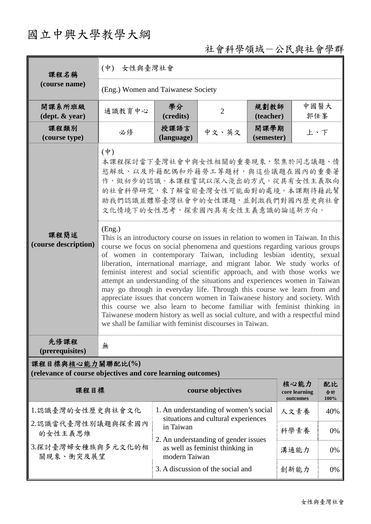## 國立中興大學教學大綱

## 社會科學領域-公民與社會學群

| 課程名稱                                                                            | (中) 女性與臺灣社會                                                                                                                                                                                                                                                                                                                                                                                                                                                                                                                                                                                                                                                                                                                                                                                                                                                                                                                                                                                                                                                                                                 |                                                                                                       |                   |                    |                                   |                  |  |  |  |
|---------------------------------------------------------------------------------|-------------------------------------------------------------------------------------------------------------------------------------------------------------------------------------------------------------------------------------------------------------------------------------------------------------------------------------------------------------------------------------------------------------------------------------------------------------------------------------------------------------------------------------------------------------------------------------------------------------------------------------------------------------------------------------------------------------------------------------------------------------------------------------------------------------------------------------------------------------------------------------------------------------------------------------------------------------------------------------------------------------------------------------------------------------------------------------------------------------|-------------------------------------------------------------------------------------------------------|-------------------|--------------------|-----------------------------------|------------------|--|--|--|
| (course name)                                                                   | (Eng.) Women and Taiwanese Society                                                                                                                                                                                                                                                                                                                                                                                                                                                                                                                                                                                                                                                                                                                                                                                                                                                                                                                                                                                                                                                                          |                                                                                                       |                   |                    |                                   |                  |  |  |  |
| 開課系所班級<br>$(\text{dept.} \& \text{ year})$                                      | 通識教育中心                                                                                                                                                                                                                                                                                                                                                                                                                                                                                                                                                                                                                                                                                                                                                                                                                                                                                                                                                                                                                                                                                                      | 學分<br>(credits)                                                                                       | $\overline{2}$    | 規劃教師<br>(teacher)  | 中國醫大<br>郭任峯                       |                  |  |  |  |
| 課程類別<br>(course type)                                                           | 必修                                                                                                                                                                                                                                                                                                                                                                                                                                                                                                                                                                                                                                                                                                                                                                                                                                                                                                                                                                                                                                                                                                          | 授課語言<br>(language)                                                                                    | 中文、英文             | 開課學期<br>(semester) | 上、下                               |                  |  |  |  |
| 課程簡述<br>(course description)                                                    | $(\dagger)$<br>本課程探討當下臺灣社會中與女性相關的重要現象,聚焦於同志議題、情<br>慾解放、以及外籍配偶和外籍勞工等題材,與這些議題在國內的重要著<br>作,做初步的認識。本課程嘗試以深入淺出的方式,從具有女性主義取向<br>的社會科學研究,來了解當前臺灣女性可能面對的處境。本課期待藉此幫<br>助我們認識並體察臺灣社會中的女性課題,並刺激我們對國內歷史與社會<br>文化情境下的女性思考,探索國內具有女性主義意識的論述新方向。<br>(Eng.)<br>This is an introductory course on issues in relation to women in Taiwan. In this<br>course we focus on social phenomena and questions regarding various groups<br>of women in contemporary Taiwan, including lesbian identity, sexual<br>liberation, international marriage, and migrant labor. We study works of<br>feminist interest and social scientific approach, and with those works we<br>attempt an understanding of the situations and experiences women in Taiwan<br>may go through in everyday life. Through this course we learn from and<br>appreciate issues that concern women in Taiwanese history and society. With<br>this course we also learn to become familiar with feminist thinking in<br>Taiwanese modern history as well as social culture, and with a respectful mind<br>we shall be familiar with feminist discourses in Taiwan. |                                                                                                       |                   |                    |                                   |                  |  |  |  |
| 先修課程<br>(prerequisites)                                                         | 無                                                                                                                                                                                                                                                                                                                                                                                                                                                                                                                                                                                                                                                                                                                                                                                                                                                                                                                                                                                                                                                                                                           |                                                                                                       |                   |                    |                                   |                  |  |  |  |
| 課程目標與核心能力關聯配比(%)<br>(relevance of course objectives and core learning outcomes) |                                                                                                                                                                                                                                                                                                                                                                                                                                                                                                                                                                                                                                                                                                                                                                                                                                                                                                                                                                                                                                                                                                             |                                                                                                       |                   |                    |                                   |                  |  |  |  |
| 課程目標                                                                            |                                                                                                                                                                                                                                                                                                                                                                                                                                                                                                                                                                                                                                                                                                                                                                                                                                                                                                                                                                                                                                                                                                             |                                                                                                       | course objectives |                    | 核心能力<br>core learning<br>outcomes | 配比<br>合計<br>100% |  |  |  |
| 1.認識臺灣的女性歷史與社會文化                                                                |                                                                                                                                                                                                                                                                                                                                                                                                                                                                                                                                                                                                                                                                                                                                                                                                                                                                                                                                                                                                                                                                                                             | 1. An understanding of women's social<br>situations and cultural experiences                          |                   |                    | 人文素養                              | 40%              |  |  |  |
| 2.認識當代臺灣性別議題與探索國內<br>的女性主義思維                                                    |                                                                                                                                                                                                                                                                                                                                                                                                                                                                                                                                                                                                                                                                                                                                                                                                                                                                                                                                                                                                                                                                                                             | in Taiwan<br>2. An understanding of gender issues<br>as well as feminist thinking in<br>modern Taiwan |                   |                    | 科學素養                              | 0%               |  |  |  |
| 3.探討臺灣婦女種族與多元文化的相<br>關現象、衝突及展望                                                  |                                                                                                                                                                                                                                                                                                                                                                                                                                                                                                                                                                                                                                                                                                                                                                                                                                                                                                                                                                                                                                                                                                             |                                                                                                       |                   |                    | 溝通能力                              | 0%               |  |  |  |
|                                                                                 |                                                                                                                                                                                                                                                                                                                                                                                                                                                                                                                                                                                                                                                                                                                                                                                                                                                                                                                                                                                                                                                                                                             | 3. A discussion of the social and                                                                     |                   |                    | 創新能力                              | 0%               |  |  |  |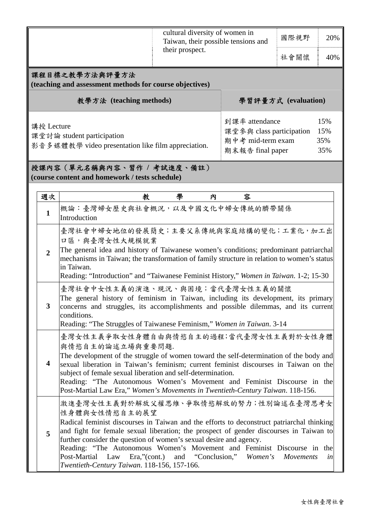|                                                                                                                                                                                                                                                                                                                                                                        |                                                                                                                                                                                                                                                                                                                                                                                                                                                                         | cultural diversity of women in<br>Taiwan, their possible tensions and                                                                                                                                                                                                                                                                                                                                                                                                                                         | 國際視野                                                                                | 20% |                          |  |  |
|------------------------------------------------------------------------------------------------------------------------------------------------------------------------------------------------------------------------------------------------------------------------------------------------------------------------------------------------------------------------|-------------------------------------------------------------------------------------------------------------------------------------------------------------------------------------------------------------------------------------------------------------------------------------------------------------------------------------------------------------------------------------------------------------------------------------------------------------------------|---------------------------------------------------------------------------------------------------------------------------------------------------------------------------------------------------------------------------------------------------------------------------------------------------------------------------------------------------------------------------------------------------------------------------------------------------------------------------------------------------------------|-------------------------------------------------------------------------------------|-----|--------------------------|--|--|
|                                                                                                                                                                                                                                                                                                                                                                        |                                                                                                                                                                                                                                                                                                                                                                                                                                                                         |                                                                                                                                                                                                                                                                                                                                                                                                                                                                                                               | their prospect.                                                                     |     | 40%                      |  |  |
|                                                                                                                                                                                                                                                                                                                                                                        | 課程目標之教學方法與評量方法<br>(teaching and assessment methods for course objectives)                                                                                                                                                                                                                                                                                                                                                                                               |                                                                                                                                                                                                                                                                                                                                                                                                                                                                                                               |                                                                                     |     |                          |  |  |
| 教學方法 (teaching methods)                                                                                                                                                                                                                                                                                                                                                |                                                                                                                                                                                                                                                                                                                                                                                                                                                                         | 學習評量方式 (evaluation)                                                                                                                                                                                                                                                                                                                                                                                                                                                                                           |                                                                                     |     |                          |  |  |
| 講授 Lecture                                                                                                                                                                                                                                                                                                                                                             | 課堂討論 student participation<br>影音多媒體教學 video presentation like film appreciation.                                                                                                                                                                                                                                                                                                                                                                                        |                                                                                                                                                                                                                                                                                                                                                                                                                                                                                                               | 到課率 attendance<br>課堂參與 class participation<br>期中考 mid-term exam<br>期末報告 final paper |     | 15%<br>15%<br>35%<br>35% |  |  |
| 授課內容(單元名稱與內容、習作 / 考試進度、備註)<br>(course content and homework / tests schedule)                                                                                                                                                                                                                                                                                           |                                                                                                                                                                                                                                                                                                                                                                                                                                                                         |                                                                                                                                                                                                                                                                                                                                                                                                                                                                                                               |                                                                                     |     |                          |  |  |
| 週次                                                                                                                                                                                                                                                                                                                                                                     | 教                                                                                                                                                                                                                                                                                                                                                                                                                                                                       | 學<br>內                                                                                                                                                                                                                                                                                                                                                                                                                                                                                                        | 容                                                                                   |     |                          |  |  |
| $\mathbf{1}$                                                                                                                                                                                                                                                                                                                                                           | 概論:臺灣婦女歷史與社會概況,以及中國文化中婦女傳統的臍帶關係<br>Introduction                                                                                                                                                                                                                                                                                                                                                                                                                         |                                                                                                                                                                                                                                                                                                                                                                                                                                                                                                               |                                                                                     |     |                          |  |  |
| 臺灣社會中婦女地位的發展簡史;主要父系傳統與家庭結構的變化;工業化,加工出<br>口區,與臺灣女性大規模就業<br>The general idea and history of Taiwanese women's conditions; predominant patriarchal<br>$\overline{2}$<br>mechanisms in Taiwan; the transformation of family structure in relation to women's status<br>in Taiwan.<br>Reading: "Introduction" and "Taiwanese Feminist History," Women in Taiwan. 1-2; 15-30 |                                                                                                                                                                                                                                                                                                                                                                                                                                                                         |                                                                                                                                                                                                                                                                                                                                                                                                                                                                                                               |                                                                                     |     |                          |  |  |
| 3                                                                                                                                                                                                                                                                                                                                                                      | 臺灣社會中女性主義的演進、現況、與困境;當代臺灣女性主義的關懷<br>The general history of feminism in Taiwan, including its development, its primary<br>concerns and struggles, its accomplishments and possible dilemmas, and its current<br>conditions.<br>Reading: "The Struggles of Taiwanese Feminism," Women in Taiwan. 3-14                                                                                                                                                                      |                                                                                                                                                                                                                                                                                                                                                                                                                                                                                                               |                                                                                     |     |                          |  |  |
| 4                                                                                                                                                                                                                                                                                                                                                                      | 臺灣女性主義爭取女性身體自由與情慾自主的過程;當代臺灣女性主義對於女性身體<br>與情慾自主的論述立場與重要問題.<br>The development of the struggle of women toward the self-determination of the body and<br>sexual liberation in Taiwan's feminism; current feminist discourses in Taiwan on the<br>subject of female sexual liberation and self-determination.<br>Reading: "The Autonomous Women's Movement and Feminist Discourse in the<br>Post-Martial Law Era," Women's Movements in Twentieth-Century Taiwan. 118-156. |                                                                                                                                                                                                                                                                                                                                                                                                                                                                                                               |                                                                                     |     |                          |  |  |
| 5                                                                                                                                                                                                                                                                                                                                                                      | Post-Martial<br>Law                                                                                                                                                                                                                                                                                                                                                                                                                                                     | 激進臺灣女性主義對於解放父權思維、爭取情慾解放的努力;性別論述在臺灣思考女<br>性身體與女性情慾自主的展望<br>Radical feminist discourses in Taiwan and the efforts to deconstruct patriarchal thinking<br>and fight for female sexual liberation; the prospect of gender discourses in Taiwan to<br>further consider the question of women's sexual desire and agency.<br>Reading: "The Autonomous Women's Movement and Feminist Discourse in the<br>and "Conclusion," Women's<br>Era, "cont.)<br>Movements<br>in<br>Twentieth-Century Taiwan. 118-156, 157-166. |                                                                                     |     |                          |  |  |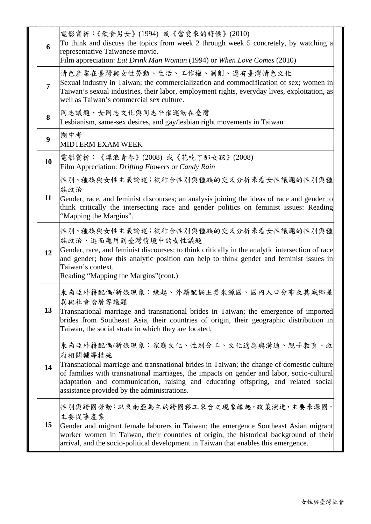| 電影賞析:《飲食男女》(1994) 或《當愛來的時候》(2010)<br>To think and discuss the topics from week 2 through week 5 concretely, by watching a<br>6<br>representative Taiwanese movie.<br>Film appreciation: Eat Drink Man Woman (1994) or When Love Comes (2010)                                                                                                                                         |
|--------------------------------------------------------------------------------------------------------------------------------------------------------------------------------------------------------------------------------------------------------------------------------------------------------------------------------------------------------------------------------------|
| 情色產業在臺灣與女性勞動、生活、工作權、剝削、還有臺灣情色文化<br>Sexual industry in Taiwan; the commercialization and commodification of sex; women in<br>$\overline{7}$<br>Taiwan's sexual industries, their labor, employment rights, everyday lives, exploitation, as<br>well as Taiwan's commercial sex culture.                                                                                               |
| 同志議題、女同志文化與同志平權運動在臺灣<br>8<br>Lesbianism, same-sex desires, and gay/lesbian right movements in Taiwan                                                                                                                                                                                                                                                                                 |
| 期中考<br>9<br><b>MIDTERM EXAM WEEK</b>                                                                                                                                                                                                                                                                                                                                                 |
| 電影賞析:《漂浪青春》(2008) 或《花吃了那女孩》(2008)<br>10<br>Film Appreciation: Drifting Flowers or Candy Rain                                                                                                                                                                                                                                                                                         |
| 性別、種族與女性主義論述;從結合性別與種族的交叉分析來看女性議題的性別與種<br>族政治<br>11<br>Gender, race, and feminist discourses; an analysis joining the ideas of race and gender to<br>think critically the intersecting race and gender politics on feminist issues: Reading<br>"Mapping the Margins".                                                                                                                 |
| 性別、種族與女性主義論述;從結合性別與種族的交叉分析來看女性議題的性別與種<br>族政治,進而應用到臺灣情境中的女性議題<br>Gender, race, and feminist discourses; to think critically in the analytic intersection of race<br>12<br>and gender; how this analytic position can help to think gender and feminist issues in<br>Taiwan's context.<br>Reading "Mapping the Margins" (cont.)                                                        |
| 東南亞外籍配偶/新娘現象:緣起、外籍配偶主要來源國、國內人口分布及其城鄉差<br>異與社會階層等議題<br>13<br>Transnational marriage and transnational brides in Taiwan; the emergence of imported<br>brides from Southeast Asia, their countries of origin, their geographic distribution in<br>Taiwan, the social strata in which they are located.                                                                                  |
| 東南亞外籍配偶/新娘現象:家庭文化、性別分工、文化適應與溝通、親子教育、政<br>府相關輔導措施<br>Transnational marriage and transnational brides in Taiwan; the change of domestic culture<br>14<br>of families with transnational marriages, the impacts on gender and labor, socio-cultural<br>adaptation and communication, raising and educating offspring, and related social<br>assistance provided by the administrations. |
| 性別與跨國勞動:以東南亞為主的跨國移工來台之現象緣起,政策演進,主要來源國,<br>主要從事產業<br>15<br>Gender and migrant female laborers in Taiwan; the emergence Southeast Asian migrant<br>worker women in Taiwan, their countries of origin, the historical background of their<br>arrival, and the socio-political development in Taiwan that enables this emergence.                                                        |